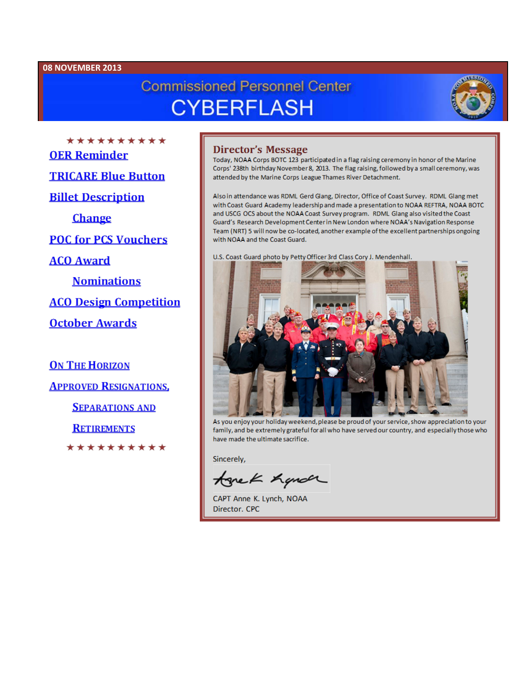#### 08 NOVEMBER 2013

# **Commissioned Personnel Center CYBERFLASH**



\*\*\*\*\*\*\*\*\*\* **OER Reminder TRICARE Blue Button Billet Description Change POC for PCS Vouchers ACO Award Nominations ACO Design Competition October Awards** 

**ON THE HORIZON APPROVED RESIGNATIONS, SEPARATIONS AND** 

**RETIREMENTS** 

\*\*\*\*\*\*\*\*\*\*

#### **Director's Message**

Today, NOAA Corps BOTC 123 participated in a flag raising ceremony in honor of the Marine Corps' 238th birthday November 8, 2013. The flag raising, followed by a small ceremony, was attended by the Marine Corps League Thames River Detachment.

Also in attendance was RDML Gerd Glang, Director, Office of Coast Survey. RDML Glang met with Coast Guard Academy leadership and made a presentation to NOAA REFTRA, NOAA BOTC and USCG OCS about the NOAA Coast Survey program. RDML Glang also visited the Coast Guard's Research Development Center in New London where NOAA's Navigation Response Team (NRT) 5 will now be co-located, another example of the excellent partnerships ongoing with NOAA and the Coast Guard.

U.S. Coast Guard photo by Petty Officer 3rd Class Cory J. Mendenhall.



As you enjoy your holiday weekend, please be proud of your service, show appreciation to your family, and be extremely grateful for all who have served our country, and especially those who have made the ultimate sacrifice.

Sincerely,

tonek handr

CAPT Anne K. Lynch, NOAA Director, CPC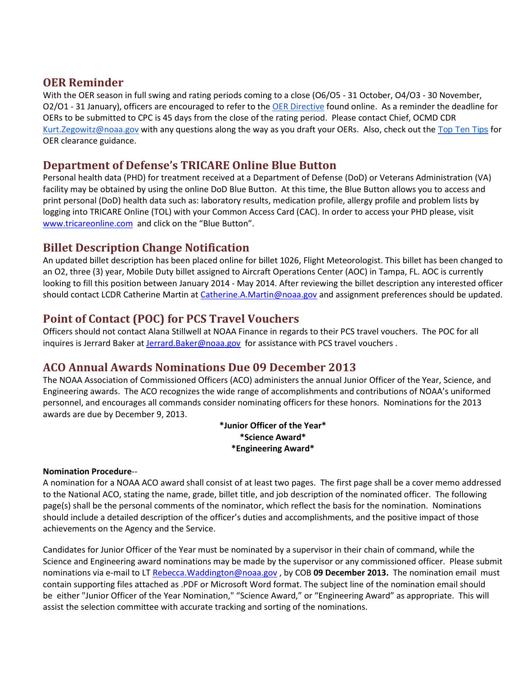## **OER Reminder**

With the OER season in full swing and rating periods coming to a close (O6/O5 - 31 October, O4/O3 - 30 November, O2/O1 - 31 January), officers are encouraged to refer to the [OER Directive](http://www.corpscpc.noaa.gov/procedures/persmanual/ncch10_pm.pdf) found online. As a reminder the deadline for OERs to be submitted to CPC is 45 days from the close of the rating period. Please contact Chief, OCMD CDR [Kurt.Zegowitz@noaa.gov](mailto:Kurt.Zegowitz@noaa.gov) with any questions along the way as you draft your OERs. Also, check out the [Top Ten Tips](http://www.corpscpc.noaa.gov/careermgmt/pdf/10_reasons_oers_invalid.pdf) for OER clearance guidance.

## **Department of Defense's TRICARE Online Blue Button**

Personal health data (PHD) for treatment received at a Department of Defense (DoD) or Veterans Administration (VA) facility may be obtained by using the online DoD Blue Button. At this time, the Blue Button allows you to access and print personal (DoD) health data such as: laboratory results, medication profile, allergy profile and problem lists by logging into TRICARE Online (TOL) with your Common Access Card (CAC). In order to access your PHD please, visit [www.tricareonline.com](http://www.tricareonline.com/) and click on the "Blue Button".

## **Billet Description Change Notification**

An updated billet description has been placed online for billet 1026, Flight Meteorologist. This billet has been changed to an O2, three (3) year, Mobile Duty billet assigned to Aircraft Operations Center (AOC) in Tampa, FL. AOC is currently looking to fill this position between January 2014 - May 2014. After reviewing the billet description any interested officer should contact LCDR Catherine Martin at [Catherine.A.Martin@noaa.gov](mailto:Catherine.A.Martin@noaa.gov) and assignment preferences should be updated.

## **Point of Contact (POC) for PCS Travel Vouchers**

Officers should not contact Alana Stillwell at NOAA Finance in regards to their PCS travel vouchers. The POC for all inquires is Jerrard Baker at Jerrard. Baker@noaa.gov for assistance with PCS travel vouchers.

## **ACO Annual Awards Nominations Due 09 December 2013**

The NOAA Association of Commissioned Officers (ACO) administers the annual Junior Officer of the Year, Science, and Engineering awards. The ACO recognizes the wide range of accomplishments and contributions of NOAA's uniformed personnel, and encourages all commands consider nominating officers for these honors. Nominations for the 2013 awards are due by December 9, 2013.

> **\*Junior Officer of the Year\* \*Science Award\* \*Engineering Award\***

#### **Nomination Procedure**--

A nomination for a NOAA ACO award shall consist of at least two pages. The first page shall be a cover memo addressed to the National ACO, stating the name, grade, billet title, and job description of the nominated officer. The following page(s) shall be the personal comments of the nominator, which reflect the basis for the nomination. Nominations should include a detailed description of the officer's duties and accomplishments, and the positive impact of those achievements on the Agency and the Service.

Candidates for Junior Officer of the Year must be nominated by a supervisor in their chain of command, while the Science and Engineering award nominations may be made by the supervisor or any commissioned officer. Please submit nominations via e-mail to LT [Rebecca.Waddington@noaa.gov](mailto:Rebecca.Waddington@noaa.gov) , by COB **09 December 2013.** The nomination email must contain supporting files attached as .PDF or Microsoft Word format. The subject line of the nomination email should be either "Junior Officer of the Year Nomination," "Science Award," or "Engineering Award" as appropriate. This will assist the selection committee with accurate tracking and sorting of the nominations.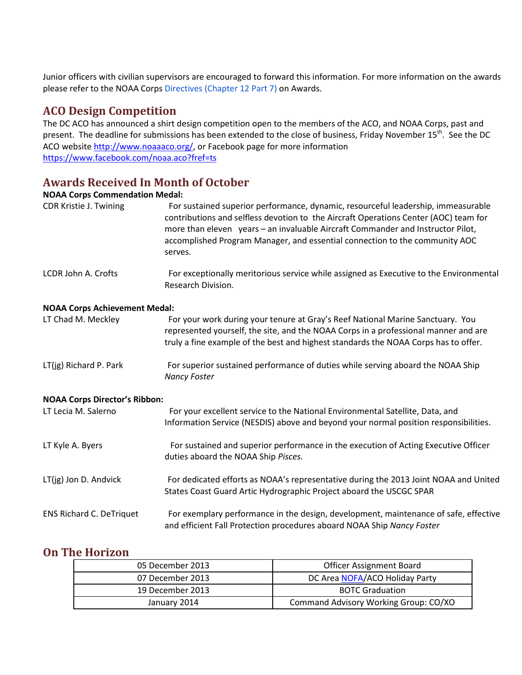Junior officers with civilian supervisors are encouraged to forward this information. For more information on the awards please refer to the NOAA Corps Directives (Chapter 12 Part 7) on Awards.

#### **ACO Design Competition**

The DC ACO has announced a shirt design competition open to the members of the ACO, and NOAA Corps, past and present. The deadline for submissions has been extended to the close of business, Friday November 15<sup>th</sup>. See the DC ACO website [http://www.noaaaco.org/,](http://www.noaaaco.org/) or Facebook page for more information <https://www.facebook.com/noaa.aco?fref=ts>

### **Awards Received In Month of October**

#### **NOAA Corps Commendation Medal:**

| CDR Kristie J. Twining               | For sustained superior performance, dynamic, resourceful leadership, immeasurable<br>contributions and selfless devotion to the Aircraft Operations Center (AOC) team for<br>more than eleven years - an invaluable Aircraft Commander and Instructor Pilot,<br>accomplished Program Manager, and essential connection to the community AOC<br>serves. |
|--------------------------------------|--------------------------------------------------------------------------------------------------------------------------------------------------------------------------------------------------------------------------------------------------------------------------------------------------------------------------------------------------------|
| LCDR John A. Crofts                  | For exceptionally meritorious service while assigned as Executive to the Environmental<br>Research Division.                                                                                                                                                                                                                                           |
| <b>NOAA Corps Achievement Medal:</b> |                                                                                                                                                                                                                                                                                                                                                        |
| LT Chad M. Meckley                   | For your work during your tenure at Gray's Reef National Marine Sanctuary. You<br>represented yourself, the site, and the NOAA Corps in a professional manner and are<br>truly a fine example of the best and highest standards the NOAA Corps has to offer.                                                                                           |
| LT(jg) Richard P. Park               | For superior sustained performance of duties while serving aboard the NOAA Ship<br><b>Nancy Foster</b>                                                                                                                                                                                                                                                 |
| <b>NOAA Corps Director's Ribbon:</b> |                                                                                                                                                                                                                                                                                                                                                        |
| LT Lecia M. Salerno                  | For your excellent service to the National Environmental Satellite, Data, and<br>Information Service (NESDIS) above and beyond your normal position responsibilities.                                                                                                                                                                                  |
| LT Kyle A. Byers                     | For sustained and superior performance in the execution of Acting Executive Officer<br>duties aboard the NOAA Ship Pisces.                                                                                                                                                                                                                             |
| LT(jg) Jon D. Andvick                | For dedicated efforts as NOAA's representative during the 2013 Joint NOAA and United                                                                                                                                                                                                                                                                   |

States Coast Guard Artic Hydrographic Project aboard the USCGC SPAR ENS Richard C. DeTriquet For exemplary performance in the design, development, maintenance of safe, effective

and efficient Fall Protection procedures aboard NOAA Ship *Nancy Foster*

#### **On The Horizon**

| 05 December 2013 | <b>Officer Assignment Board</b>       |
|------------------|---------------------------------------|
| 07 December 2013 | DC Area NOFA/ACO Holiday Party        |
| 19 December 2013 | <b>BOTC Graduation</b>                |
| January 2014     | Command Advisory Working Group: CO/XO |